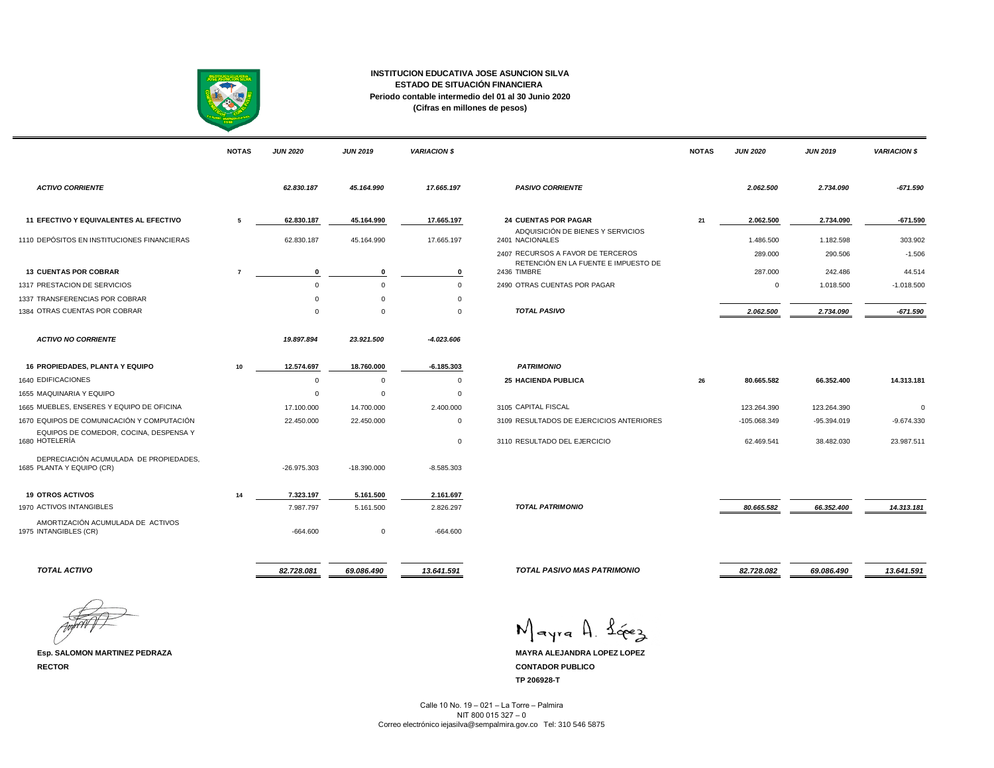

## **INSTITUCION EDUCATIVA JOSE ASUNCION SILVA ESTADO DE SITUACIÓN FINANCIERA Periodo contable intermedio del 01 al 30 Junio 2020 (Cifras en millones de pesos)**

|                                                                     | <b>NOTAS</b>   | <b>JUN 2020</b>  | <b>JUN 2019</b> | <b>VARIACION \$</b>         |                                                      | <b>NOTAS</b> | <b>JUN 2020</b> | <b>JUN 2019</b> | <b>VARIACION \$</b> |
|---------------------------------------------------------------------|----------------|------------------|-----------------|-----------------------------|------------------------------------------------------|--------------|-----------------|-----------------|---------------------|
| <b>ACTIVO CORRIENTE</b>                                             |                | 62.830.187       | 45.164.990      | 17.665.197                  | <b>PASIVO CORRIENTE</b>                              |              | 2.062.500       | 2.734.090       | $-671.590$          |
| 11 EFECTIVO Y EQUIVALENTES AL EFECTIVO                              | 5              | 62.830.187       | 45.164.990      | 17.665.197                  | <b>24 CUENTAS POR PAGAR</b>                          | 21           | 2.062.500       | 2.734.090       | $-671.590$          |
| 1110 DEPÓSITOS EN INSTITUCIONES FINANCIERAS                         |                | 62.830.187       | 45.164.990      | 17.665.197                  | ADQUISICIÓN DE BIENES Y SERVICIOS<br>2401 NACIONALES |              | 1.486.500       | 1.182.598       | 303.902             |
|                                                                     |                |                  |                 |                             | 2407 RECURSOS A FAVOR DE TERCEROS                    |              | 289.000         | 290.506         | $-1.506$            |
| <b>13 CUENTAS POR COBRAR</b>                                        | $\overline{7}$ |                  | $\mathbf 0$     |                             | RETENCIÓN EN LA FUENTE E IMPUESTO DE<br>2436 TIMBRE  |              | 287.000         | 242.486         | 44.514              |
| 1317 PRESTACION DE SERVICIOS                                        |                | 0<br>$\mathbf 0$ | $\Omega$        | $\mathbf 0$<br>$\mathbf{0}$ | 2490 OTRAS CUENTAS POR PAGAR                         |              |                 | 1.018.500       | $-1.018.500$        |
|                                                                     |                | $\Omega$         | $\Omega$        | $\Omega$                    |                                                      |              | $\mathsf 0$     |                 |                     |
| 1337 TRANSFERENCIAS POR COBRAR<br>1384 OTRAS CUENTAS POR COBRAR     |                | $\mathbf 0$      | $\mathbf 0$     | $\mathbf 0$                 | <b>TOTAL PASIVO</b>                                  |              | 2.062.500       | 2.734.090       | $-671.590$          |
|                                                                     |                |                  |                 |                             |                                                      |              |                 |                 |                     |
| <b>ACTIVO NO CORRIENTE</b>                                          |                | 19.897.894       | 23.921.500      | $-4.023.606$                |                                                      |              |                 |                 |                     |
| <b>16 PROPIEDADES, PLANTA Y EQUIPO</b>                              | 10             | 12.574.697       | 18.760.000      | $-6.185.303$                | <b>PATRIMONIO</b>                                    |              |                 |                 |                     |
| 1640 EDIFICACIONES                                                  |                | $\mathbf 0$      | $\mathbf 0$     | $^{\circ}$                  | <b>25 HACIENDA PUBLICA</b>                           | 26           | 80.665.582      | 66.352.400      | 14.313.181          |
| 1655 MAQUINARIA Y EQUIPO                                            |                | $\mathbf 0$      | $\mathbf{0}$    | $\mathbf 0$                 |                                                      |              |                 |                 |                     |
| 1665 MUEBLES, ENSERES Y EQUIPO DE OFICINA                           |                | 17.100.000       | 14.700.000      | 2.400.000                   | 3105 CAPITAL FISCAL                                  |              | 123.264.390     | 123.264.390     | $\Omega$            |
| 1670 EQUIPOS DE COMUNICACIÓN Y COMPUTACIÓN                          |                | 22.450.000       | 22.450.000      | $\mathbf{0}$                | 3109 RESULTADOS DE EJERCICIOS ANTERIORES             |              | -105.068.349    | $-95.394.019$   | $-9.674.330$        |
| EQUIPOS DE COMEDOR, COCINA, DESPENSA Y<br>1680 HOTELERÍA            |                |                  |                 | $\mathbf 0$                 | 3110 RESULTADO DEL EJERCICIO                         |              | 62.469.541      | 38.482.030      | 23.987.511          |
| DEPRECIACIÓN ACUMULADA DE PROPIEDADES.<br>1685 PLANTA Y EQUIPO (CR) |                | $-26.975.303$    | $-18.390.000$   | $-8.585.303$                |                                                      |              |                 |                 |                     |
| <b>19 OTROS ACTIVOS</b>                                             | 14             | 7.323.197        | 5.161.500       | 2.161.697                   |                                                      |              |                 |                 |                     |
| 1970 ACTIVOS INTANGIBLES                                            |                | 7.987.797        | 5.161.500       | 2.826.297                   | <b>TOTAL PATRIMONIO</b>                              |              | 80.665.582      | 66.352.400      | 14.313.181          |
| AMORTIZACIÓN ACUMULADA DE ACTIVOS<br>1975 INTANGIBLES (CR)          |                | $-664.600$       | $\mathbf 0$     | $-664.600$                  |                                                      |              |                 |                 |                     |
| <b>TOTAL ACTIVO</b>                                                 |                | 82.728.081       | 69.086.490      | 13.641.591                  | <b>TOTAL PASIVO MAS PATRIMONIO</b>                   |              | 82.728.082      | 69.086.490      | 13.641.591          |

**RECTOR CONTADOR PUBLICO**

Mayra A. Lévez

**Esp. SALOMON MARTINEZ PEDRAZA MAYRA ALEJANDRA LOPEZ LOPEZ TP 206928-T**

> Calle 10 No. 19 – 021 – La Torre – Palmira NIT 800 015 327 – 0 Correo electrónico iejasilva@sempalmira.gov.co Tel: 310 546 5875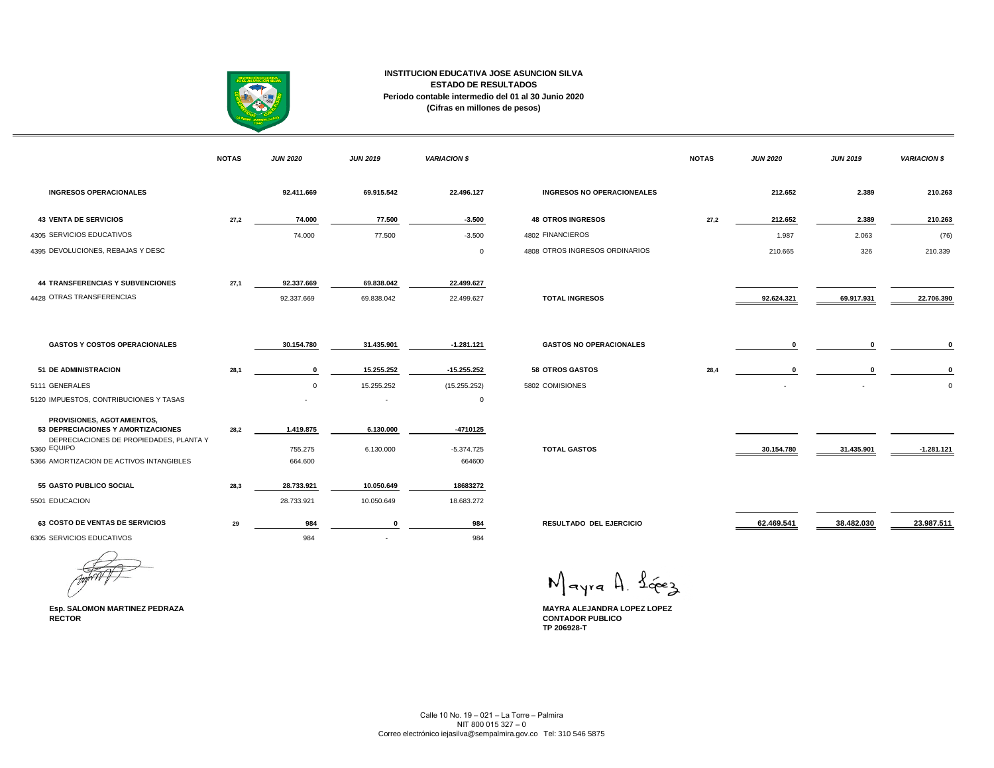

## **INSTITUCION EDUCATIVA JOSE ASUNCION SILVA ESTADO DE RESULTADOS Periodo contable intermedio del 01 al 30 Junio 2020 (Cifras en millones de pesos)**

|                                                                  | <b>NOTAS</b> | <b>JUN 2020</b> | <b>JUN 2019</b> | <b>VARIACION \$</b> |                                   | <b>NOTAS</b> | <b>JUN 2020</b> | <b>JUN 2019</b> | <b>VARIACION \$</b> |
|------------------------------------------------------------------|--------------|-----------------|-----------------|---------------------|-----------------------------------|--------------|-----------------|-----------------|---------------------|
| <b>INGRESOS OPERACIONALES</b>                                    |              | 92.411.669      | 69.915.542      | 22.496.127          | <b>INGRESOS NO OPERACIONEALES</b> |              | 212.652         | 2.389           | 210.263             |
| <b>43 VENTA DE SERVICIOS</b>                                     | 27,2         | 74.000          | 77.500          | $-3.500$            | <b>48 OTROS INGRESOS</b>          | 27,2         | 212.652         | 2.389           | 210.263             |
| 4305 SERVICIOS EDUCATIVOS                                        |              | 74.000          | 77.500          | $-3.500$            | 4802 FINANCIEROS                  |              | 1.987           | 2.063           | (76)                |
| 4395 DEVOLUCIONES, REBAJAS Y DESC                                |              |                 |                 | $\mathbf 0$         | 4808 OTROS INGRESOS ORDINARIOS    |              | 210.665         | 326             | 210.339             |
| <b>44 TRANSFERENCIAS Y SUBVENCIONES</b>                          | 27,1         | 92.337.669      | 69.838.042      | 22.499.627          |                                   |              |                 |                 |                     |
| 4428 OTRAS TRANSFERENCIAS                                        |              | 92.337.669      | 69.838.042      | 22.499.627          | <b>TOTAL INGRESOS</b>             |              | 92.624.321      | 69.917.931      | 22.706.390          |
| <b>GASTOS Y COSTOS OPERACIONALES</b>                             |              | 30.154.780      | 31.435.901      | $-1.281.121$        | <b>GASTOS NO OPERACIONALES</b>    |              | 0               | $\mathbf 0$     |                     |
| <b>51 DE ADMINISTRACION</b>                                      | 28,1         | $\mathbf 0$     | 15.255.252      | $-15.255.252$       | <b>58 OTROS GASTOS</b>            | 28,4         |                 | $\Omega$        |                     |
| 5111 GENERALES                                                   |              | $\mathbf{0}$    | 15.255.252      | (15.255.252)        | 5802 COMISIONES                   |              |                 |                 |                     |
| 5120 IMPUESTOS, CONTRIBUCIONES Y TASAS                           |              |                 |                 | $\mathbf 0$         |                                   |              |                 |                 |                     |
| PROVISIONES, AGOTAMIENTOS,<br>53 DEPRECIACIONES Y AMORTIZACIONES | 28,2         | 1.419.875       | 6.130.000       | $-4710125$          |                                   |              |                 |                 |                     |
| DEPRECIACIONES DE PROPIEDADES, PLANTA Y<br>5360 EQUIPO           |              | 755.275         | 6.130.000       | $-5.374.725$        | <b>TOTAL GASTOS</b>               |              | 30.154.780      | 31.435.901      | $-1.281.121$        |
| 5366 AMORTIZACION DE ACTIVOS INTANGIBLES                         |              | 664.600         |                 | 664600              |                                   |              |                 |                 |                     |
| <b>55 GASTO PUBLICO SOCIAL</b>                                   | 28,3         | 28.733.921      | 10.050.649      | 18683272            |                                   |              |                 |                 |                     |
| 5501 EDUCACION                                                   |              | 28.733.921      | 10.050.649      | 18.683.272          |                                   |              |                 |                 |                     |
| 63 COSTO DE VENTAS DE SERVICIOS                                  | 29           | 984             | $\mathbf 0$     | 984                 | <b>RESULTADO DEL EJERCICIO</b>    |              | 62.469.541      | 38.482.030      | 23.987.511          |
| 6305 SERVICIOS EDUCATIVOS                                        |              | 984             |                 | 984                 |                                   |              |                 |                 |                     |

Mayra A. Lévez

**Esp. SALOMON MARTINEZ PEDRAZA MAYRA ALEJANDRA LOPEZ LOPEZ RECTOR CONTADOR PUBLICO TP 206928-T**

Calle 10 No. 19 – 021 – La Torre – Palmira NIT 800 015 327 – 0 Correo electrónico iejasilva@sempalmira.gov.co Tel: 310 546 5875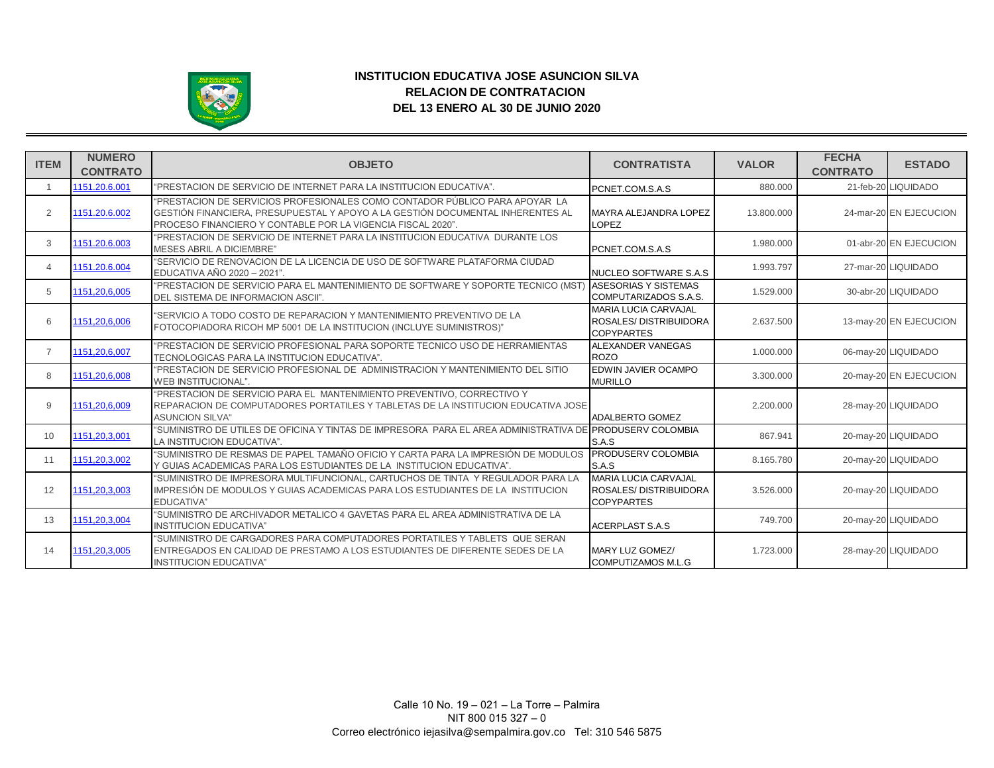

## **INSTITUCION EDUCATIVA JOSE ASUNCION SILVA RELACION DE CONTRATACION DEL 13 ENERO AL 30 DE JUNIO 2020**

| <b>ITEM</b>     | <b>NUMERO</b><br><b>CONTRATO</b> | <b>OBJETO</b>                                                                                                                                                                                                                | <b>CONTRATISTA</b>                                                        | <b>VALOR</b> | <b>FECHA</b><br><b>CONTRATO</b> | <b>ESTADO</b>          |
|-----------------|----------------------------------|------------------------------------------------------------------------------------------------------------------------------------------------------------------------------------------------------------------------------|---------------------------------------------------------------------------|--------------|---------------------------------|------------------------|
| $\overline{1}$  | 1151.20.6.001                    | "PRESTACION DE SERVICIO DE INTERNET PARA LA INSTITUCION EDUCATIVA".                                                                                                                                                          | PCNET.COM.S.A.S                                                           | 880.000      |                                 | 21-feb-20 LIQUIDADO    |
| 2               | 1151.20.6.002                    | "PRESTACION DE SERVICIOS PROFESIONALES COMO CONTADOR PÚBLICO PARA APOYAR LA<br>GESTIÓN FINANCIERA, PRESUPUESTAL Y APOYO A LA GESTIÓN DOCUMENTAL INHERENTES AL<br>PROCESO FINANCIERO Y CONTABLE POR LA VIGENCIA FISCAL 2020". | <b>MAYRA ALEJANDRA LOPEZ</b><br><b>LOPEZ</b>                              | 13.800.000   |                                 | 24-mar-20 EN EJECUCION |
| 3               | 1151.20.6.003                    | "PRESTACION DE SERVICIO DE INTERNET PARA LA INSTITUCION EDUCATIVA DURANTE LOS<br><b>MESES ABRIL A DICIEMBRE"</b>                                                                                                             | PCNET.COM.S.A.S                                                           | 1.980.000    |                                 | 01-abr-20 EN EJECUCION |
| $\overline{4}$  | 1151.20.6.004                    | "SERVICIO DE RENOVACION DE LA LICENCIA DE USO DE SOFTWARE PLATAFORMA CIUDAD<br>EDUCATIVA AÑO 2020 - 2021".                                                                                                                   | NUCLEO SOFTWARE S.A.S                                                     | 1.993.797    |                                 | 27-mar-20 LIQUIDADO    |
| 5               | 1151.20.6.005                    | "PRESTACION DE SERVICIO PARA EL MANTENIMIENTO DE SOFTWARE Y SOPORTE TECNICO (MST<br>DEL SISTEMA DE INFORMACION ASCII".                                                                                                       | <b>ASESORIAS Y SISTEMAS</b><br>COMPUTARIZADOS S.A.S.                      | 1.529.000    |                                 | 30-abr-20 LIQUIDADO    |
| 6               | 1151,20,6,006                    | "SERVICIO A TODO COSTO DE REPARACION Y MANTENIMIENTO PREVENTIVO DE LA<br>FOTOCOPIADORA RICOH MP 5001 DE LA INSTITUCION (INCLUYE SUMINISTROS)"                                                                                | <b>MARIA LUCIA CARVAJAL</b><br>ROSALES/DISTRIBUIDORA<br><b>COPYPARTES</b> | 2.637.500    |                                 | 13-may-20 EN EJECUCION |
| $\overline{7}$  | 1151,20,6,007                    | "PRESTACION DE SERVICIO PROFESIONAL PARA SOPORTE TECNICO USO DE HERRAMIENTAS<br>TECNOLOGICAS PARA LA INSTITUCION EDUCATIVA".                                                                                                 | ALEXANDER VANEGAS<br><b>ROZO</b>                                          | 1.000.000    |                                 | 06-may-20 LIQUIDADO    |
| 8               | 1151,20,6,008                    | "PRESTACION DE SERVICIO PROFESIONAL DE ADMINISTRACION Y MANTENIMIENTO DEL SITIO<br>WEB INSTITUCIONAL".                                                                                                                       | EDWIN JAVIER OCAMPO<br><b>MURILLO</b>                                     | 3.300.000    |                                 | 20-may-20 EN EJECUCION |
| 9               | 1151,20,6,009                    | "PRESTACION DE SERVICIO PARA EL MANTENIMIENTO PREVENTIVO, CORRECTIVO Y<br>REPARACION DE COMPUTADORES PORTATILES Y TABLETAS DE LA INSTITUCION EDUCATIVA JOSE<br><b>ASUNCION SILVA"</b>                                        | ADALBERTO GOMEZ                                                           | 2.200.000    |                                 | 28-may-20 LIQUIDADO    |
| 10 <sup>1</sup> | 1151,20,3,001                    | "SUMINISTRO DE UTILES DE OFICINA Y TINTAS DE IMPRESORA PARA EL AREA ADMINISTRATIVA DE PRODUSERV COLOMBIA<br>LA INSTITUCION EDUCATIVA".                                                                                       | S.A.S                                                                     | 867.941      |                                 | 20-may-20 LIQUIDADO    |
| 11              | 1151,20,3,002                    | "SUMINISTRO DE RESMAS DE PAPEL TAMAÑO OFICIO Y CARTA PARA LA IMPRESIÓN DE MODULOS<br>Y GUIAS ACADEMICAS PARA LOS ESTUDIANTES DE LA INSTITUCION EDUCATIVA".                                                                   | <b>PRODUSERV COLOMBIA</b><br>S.A.S                                        | 8.165.780    |                                 | 20-may-20 LIQUIDADO    |
| 12              | 1151,20,3,003                    | "SUMINISTRO DE IMPRESORA MULTIFUNCIONAL, CARTUCHOS DE TINTA Y REGULADOR PARA LA<br>IMPRESIÓN DE MODULOS Y GUIAS ACADEMICAS PARA LOS ESTUDIANTES DE LA INSTITUCION<br>EDUCATIVA"                                              | <b>MARIA LUCIA CARVAJAL</b><br>ROSALES/DISTRIBUIDORA<br><b>COPYPARTES</b> | 3.526.000    |                                 | 20-may-20 LIQUIDADO    |
| 13              | 1151,20,3,004                    | "SUMINISTRO DE ARCHIVADOR METALICO 4 GAVETAS PARA EL AREA ADMINISTRATIVA DE LA<br><b>INSTITUCION EDUCATIVA"</b>                                                                                                              | <b>ACERPLAST S.A.S</b>                                                    | 749.700      |                                 | 20-may-20 LIQUIDADO    |
| 14              | 1151.20.3.005                    | "SUMINISTRO DE CARGADORES PARA COMPUTADORES PORTATILES Y TABLETS QUE SERAN<br>ENTREGADOS EN CALIDAD DE PRESTAMO A LOS ESTUDIANTES DE DIFERENTE SEDES DE LA<br><b>INSTITUCION EDUCATIVA"</b>                                  | MARY LUZ GOMEZ/<br>COMPUTIZAMOS M.L.G                                     | 1.723.000    |                                 | 28-may-20 LIQUIDADO    |